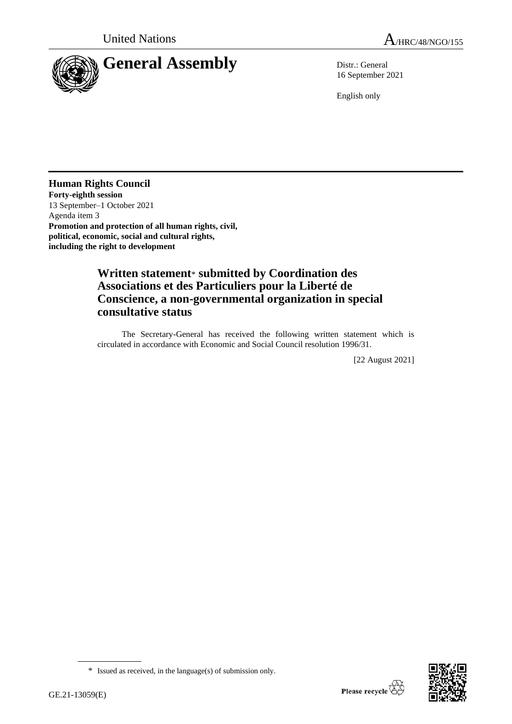

16 September 2021

English only

### **Human Rights Council**

**Forty-eighth session** 13 September–1 October 2021 Agenda item 3 **Promotion and protection of all human rights, civil, political, economic, social and cultural rights, including the right to development**

# **Written statement**\* **submitted by Coordination des Associations et des Particuliers pour la Liberté de Conscience, a non-governmental organization in special consultative status**

The Secretary-General has received the following written statement which is circulated in accordance with Economic and Social Council resolution 1996/31.

[22 August 2021]



<sup>\*</sup> Issued as received, in the language(s) of submission only.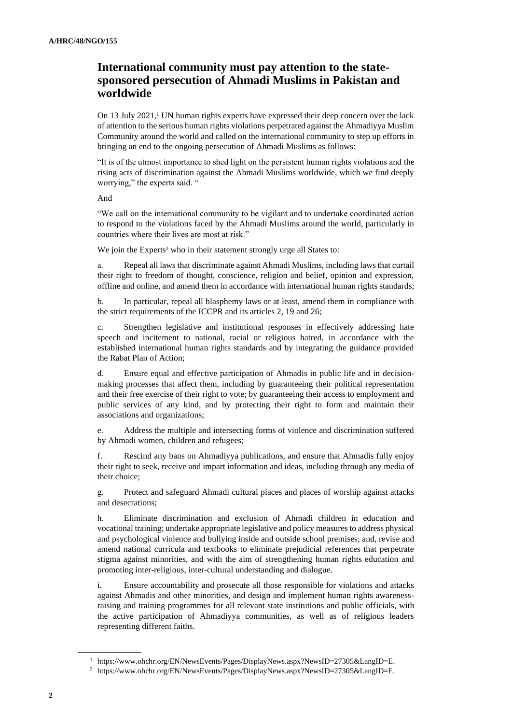## **International community must pay attention to the statesponsored persecution of Ahmadi Muslims in Pakistan and worldwide**

On 13 July 2021, $\frac{1}{1}$  UN human rights experts have expressed their deep concern over the lack of attention to the serious human rights violations perpetrated against the Ahmadiyya Muslim Community around the world and called on the international community to step up efforts in bringing an end to the ongoing persecution of Ahmadi Muslims as follows:

"It is of the utmost importance to shed light on the persistent human rights violations and the rising acts of discrimination against the Ahmadi Muslims worldwide, which we find deeply worrying," the experts said. "

And

"We call on the international community to be vigilant and to undertake coordinated action to respond to the violations faced by the Ahmadi Muslims around the world, particularly in countries where their lives are most at risk."

We join the Experts<sup>2</sup> who in their statement strongly urge all States to:

a. Repeal all laws that discriminate against Ahmadi Muslims, including laws that curtail their right to freedom of thought, conscience, religion and belief, opinion and expression, offline and online, and amend them in accordance with international human rights standards;

b. In particular, repeal all blasphemy laws or at least, amend them in compliance with the strict requirements of the ICCPR and its articles 2, 19 and 26;

c. Strengthen legislative and institutional responses in effectively addressing hate speech and incitement to national, racial or religious hatred, in accordance with the established international human rights standards and by integrating the guidance provided the Rabat Plan of Action;

d. Ensure equal and effective participation of Ahmadis in public life and in decisionmaking processes that affect them, including by guaranteeing their political representation and their free exercise of their right to vote; by guaranteeing their access to employment and public services of any kind, and by protecting their right to form and maintain their associations and organizations;

e. Address the multiple and intersecting forms of violence and discrimination suffered by Ahmadi women, children and refugees;

f. Rescind any bans on Ahmadiyya publications, and ensure that Ahmadis fully enjoy their right to seek, receive and impart information and ideas, including through any media of their choice;

g. Protect and safeguard Ahmadi cultural places and places of worship against attacks and desecrations;

h. Eliminate discrimination and exclusion of Ahmadi children in education and vocational training; undertake appropriate legislative and policy measures to address physical and psychological violence and bullying inside and outside school premises; and, revise and amend national curricula and textbooks to eliminate prejudicial references that perpetrate stigma against minorities, and with the aim of strengthening human rights education and promoting inter-religious, inter-cultural understanding and dialogue.

i. Ensure accountability and prosecute all those responsible for violations and attacks against Ahmadis and other minorities, and design and implement human rights awarenessraising and training programmes for all relevant state institutions and public officials, with the active participation of Ahmadiyya communities, as well as of religious leaders representing different faiths.

<sup>1</sup> https://www.ohchr.org/EN/NewsEvents/Pages/DisplayNews.aspx?NewsID=27305&LangID=E.

<sup>2</sup> https://www.ohchr.org/EN/NewsEvents/Pages/DisplayNews.aspx?NewsID=27305&LangID=E.